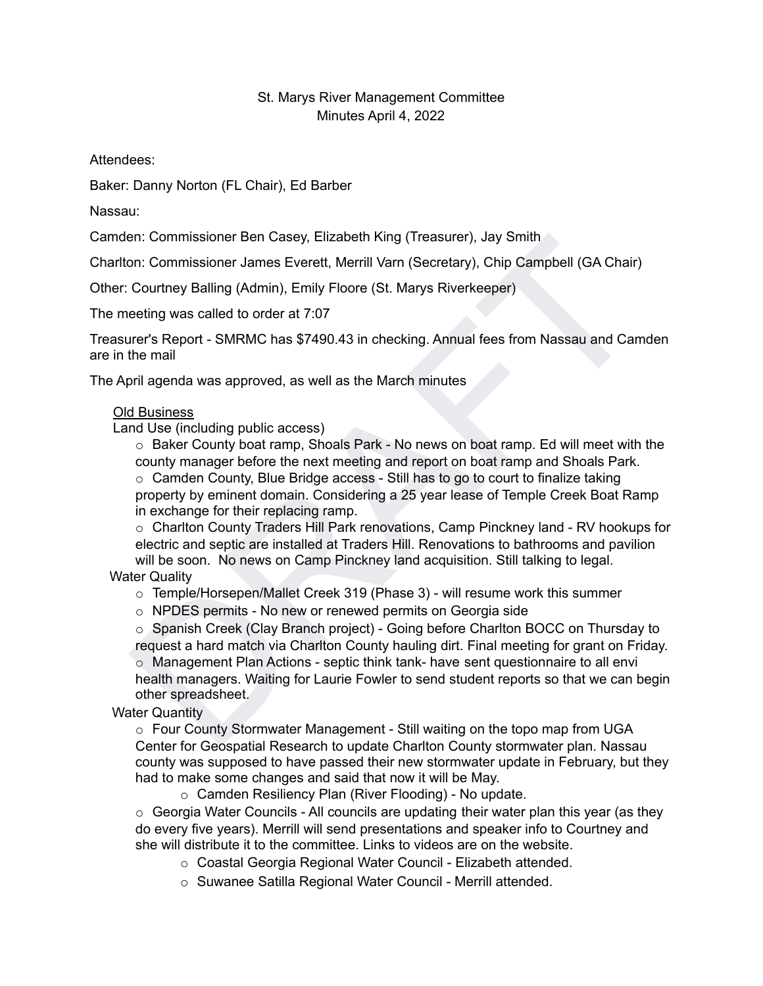## St. Marys River Management Committee Minutes April 4, 2022

Attendees:

Baker: Danny Norton (FL Chair), Ed Barber

Nassau:

Camden: Commissioner Ben Casey, Elizabeth King (Treasurer), Jay Smith

Charlton: Commissioner James Everett, Merrill Varn (Secretary), Chip Campbell (GA Chair)

Other: Courtney Balling (Admin), Emily Floore (St. Marys Riverkeeper)

The meeting was called to order at 7:07

Treasurer's Report - SMRMC has \$7490.43 in checking. Annual fees from Nassau and Camden are in the mail

The April agenda was approved, as well as the March minutes

## Old Business

Land Use (including public access)

en: Commissioner Ben Casey, Elizabeth King (Treasurer), Jay Smith<br>
Courtney Balling (Admin), Emily Floore (St. Marys Riverkeeper)<br>
Courtney Balling (Admin), Emily Floore (St. Marys Riverkeeper)<br>
eeting was called to order o Baker County boat ramp, Shoals Park - No news on boat ramp. Ed will meet with the county manager before the next meeting and report on boat ramp and Shoals Park.  $\circ$  Camden County, Blue Bridge access - Still has to go to court to finalize taking property by eminent domain. Considering a 25 year lease of Temple Creek Boat Ramp in exchange for their replacing ramp.

o Charlton County Traders Hill Park renovations, Camp Pinckney land - RV hookups for electric and septic are installed at Traders Hill. Renovations to bathrooms and pavilion will be soon. No news on Camp Pinckney land acquisition. Still talking to legal.

Water Quality

o Temple/Horsepen/Mallet Creek 319 (Phase 3) - will resume work this summer

o NPDES permits - No new or renewed permits on Georgia side

o Spanish Creek (Clay Branch project) - Going before Charlton BOCC on Thursday to request a hard match via Charlton County hauling dirt. Final meeting for grant on Friday.  $\circ$  Management Plan Actions - septic think tank- have sent questionnaire to all envi

health managers. Waiting for Laurie Fowler to send student reports so that we can begin other spreadsheet.

Water Quantity

 $\circ$  Four County Stormwater Management - Still waiting on the topo map from UGA Center for Geospatial Research to update Charlton County stormwater plan. Nassau county was supposed to have passed their new stormwater update in February, but they had to make some changes and said that now it will be May.

o Camden Resiliency Plan (River Flooding) - No update.

 $\circ$  Georgia Water Councils - All councils are updating their water plan this year (as they do every five years). Merrill will send presentations and speaker info to Courtney and she will distribute it to the committee. Links to videos are on the website.

o Coastal Georgia Regional Water Council - Elizabeth attended.

o Suwanee Satilla Regional Water Council - Merrill attended.